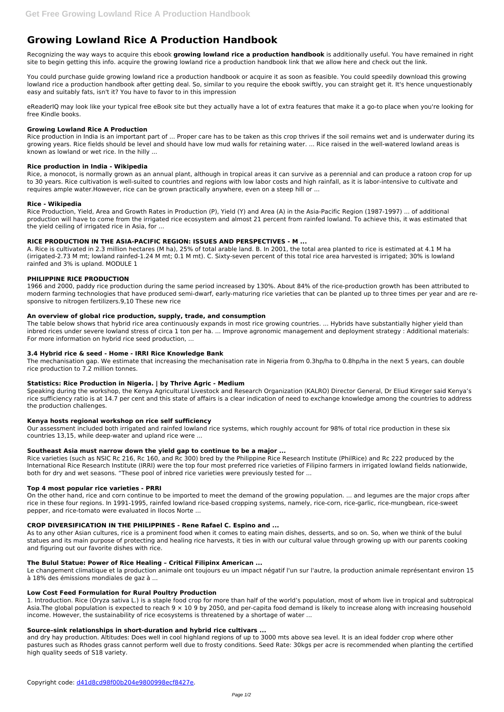# **Growing Lowland Rice A Production Handbook**

Recognizing the way ways to acquire this ebook **growing lowland rice a production handbook** is additionally useful. You have remained in right site to begin getting this info. acquire the growing lowland rice a production handbook link that we allow here and check out the link.

You could purchase guide growing lowland rice a production handbook or acquire it as soon as feasible. You could speedily download this growing lowland rice a production handbook after getting deal. So, similar to you require the ebook swiftly, you can straight get it. It's hence unquestionably easy and suitably fats, isn't it? You have to favor to in this impression

eReaderIQ may look like your typical free eBook site but they actually have a lot of extra features that make it a go-to place when you're looking for free Kindle books.

## **Growing Lowland Rice A Production**

Rice production in India is an important part of ... Proper care has to be taken as this crop thrives if the soil remains wet and is underwater during its growing years. Rice fields should be level and should have low mud walls for retaining water. ... Rice raised in the well-watered lowland areas is known as lowland or wet rice. In the hilly ...

## **Rice production in India - Wikipedia**

Rice, a monocot, is normally grown as an annual plant, although in tropical areas it can survive as a perennial and can produce a ratoon crop for up to 30 years. Rice cultivation is well-suited to countries and regions with low labor costs and high rainfall, as it is labor-intensive to cultivate and requires ample water.However, rice can be grown practically anywhere, even on a steep hill or ...

## **Rice - Wikipedia**

Rice Production, Yield, Area and Growth Rates in Production (P), Yield (Y) and Area (A) in the Asia-Pacific Region (1987-1997) ... of additional production will have to come from the irrigated rice ecosystem and almost 21 percent from rainfed lowland. To achieve this, it was estimated that the yield ceiling of irrigated rice in Asia, for ...

Rice varieties (such as NSIC Rc 216, Rc 160, and Rc 300) bred by the Philippine Rice Research Institute (PhilRice) and Rc 222 produced by the International Rice Research Institute (IRRI) were the top four most preferred rice varieties of Filipino farmers in irrigated lowland fields nationwide, both for dry and wet seasons. "These pool of inbred rice varieties were previously tested for ...

## **RICE PRODUCTION IN THE ASIA-PACIFIC REGION: ISSUES AND PERSPECTIVES - M ...**

A. Rice is cultivated in 2.3 million hectares (M ha), 25% of total arable land. B. In 2001, the total area planted to rice is estimated at 4.1 M ha (irrigated-2.73 M mt; lowland rainfed-1.24 M mt; 0.1 M mt). C. Sixty-seven percent of this total rice area harvested is irrigated; 30% is lowland rainfed and 3% is upland. MODULE 1

## **PHILIPPINE RICE PRODUCTION**

1966 and 2000, paddy rice production during the same period increased by 130%. About 84% of the rice-production growth has been attributed to modern farming technologies that have produced semi-dwarf, early-maturing rice varieties that can be planted up to three times per year and are responsive to nitrogen fertilizers.9,10 These new rice

## **An overview of global rice production, supply, trade, and consumption**

The table below shows that hybrid rice area continuously expands in most rice growing countries. ... Hybrids have substantially higher yield than inbred rices under severe lowland stress of circa 1 ton per ha. ... Improve agronomic management and deployment strategy : Additional materials: For more information on hybrid rice seed production, ...

## **3.4 Hybrid rice & seed - Home - IRRI Rice Knowledge Bank**

The mechanisation gap. We estimate that increasing the mechanisation rate in Nigeria from 0.3hp/ha to 0.8hp/ha in the next 5 years, can double rice production to 7.2 million tonnes.

# **Statistics: Rice Production in Nigeria. | by Thrive Agric - Medium**

Speaking during the workshop, the Kenya Agricultural Livestock and Research Organization (KALRO) Director General, Dr Eliud Kireger said Kenya's rice sufficiency ratio is at 14.7 per cent and this state of affairs is a clear indication of need to exchange knowledge among the countries to address the production challenges.

## **Kenya hosts regional workshop on rice self sufficiency**

Our assessment included both irrigated and rainfed lowland rice systems, which roughly account for 98% of total rice production in these six countries 13,15, while deep-water and upland rice were ...

## **Southeast Asia must narrow down the yield gap to continue to be a major ...**

## **Top 4 most popular rice varieties - PRRI**

On the other hand, rice and corn continue to be imported to meet the demand of the growing population. ... and legumes are the major crops after rice in these four regions. In 1991-1995, rainfed lowland rice-based cropping systems, namely, rice-corn, rice-garlic, rice-mungbean, rice-sweet pepper, and rice-tomato were evaluated in Ilocos Norte ...

## **CROP DIVERSIFICATION IN THE PHILIPPINES - Rene Rafael C. Espino and ...**

As to any other Asian cultures, rice is a prominent food when it comes to eating main dishes, desserts, and so on. So, when we think of the bulul

statues and its main purpose of protecting and healing rice harvests, it ties in with our cultural value through growing up with our parents cooking and figuring out our favorite dishes with rice.

## **The Bulul Statue: Power of Rice Healing – Critical Filipinx American ...**

Le changement climatique et la production animale ont toujours eu un impact négatif l'un sur l'autre, la production animale représentant environ 15 à 18% des émissions mondiales de gaz à ...

#### **Low Cost Feed Formulation for Rural Poultry Production**

1. Introduction. Rice (Oryza sativa L.) is a staple food crop for more than half of the world's population, most of whom live in tropical and subtropical Asia.The global population is expected to reach  $9 \times 109$  by 2050, and per-capita food demand is likely to increase along with increasing household income. However, the sustainability of rice ecosystems is threatened by a shortage of water ...

## **Source–sink relationships in short-duration and hybrid rice cultivars ...**

and dry hay production. Altitudes: Does well in cool highland regions of up to 3000 mts above sea level. It is an ideal fodder crop where other pastures such as Rhodes grass cannot perform well due to frosty conditions. Seed Rate: 30kgs per acre is recommended when planting the certified high quality seeds of S18 variety.

Copyright code: [d41d8cd98f00b204e9800998ecf8427e.](/sitemap.xml)